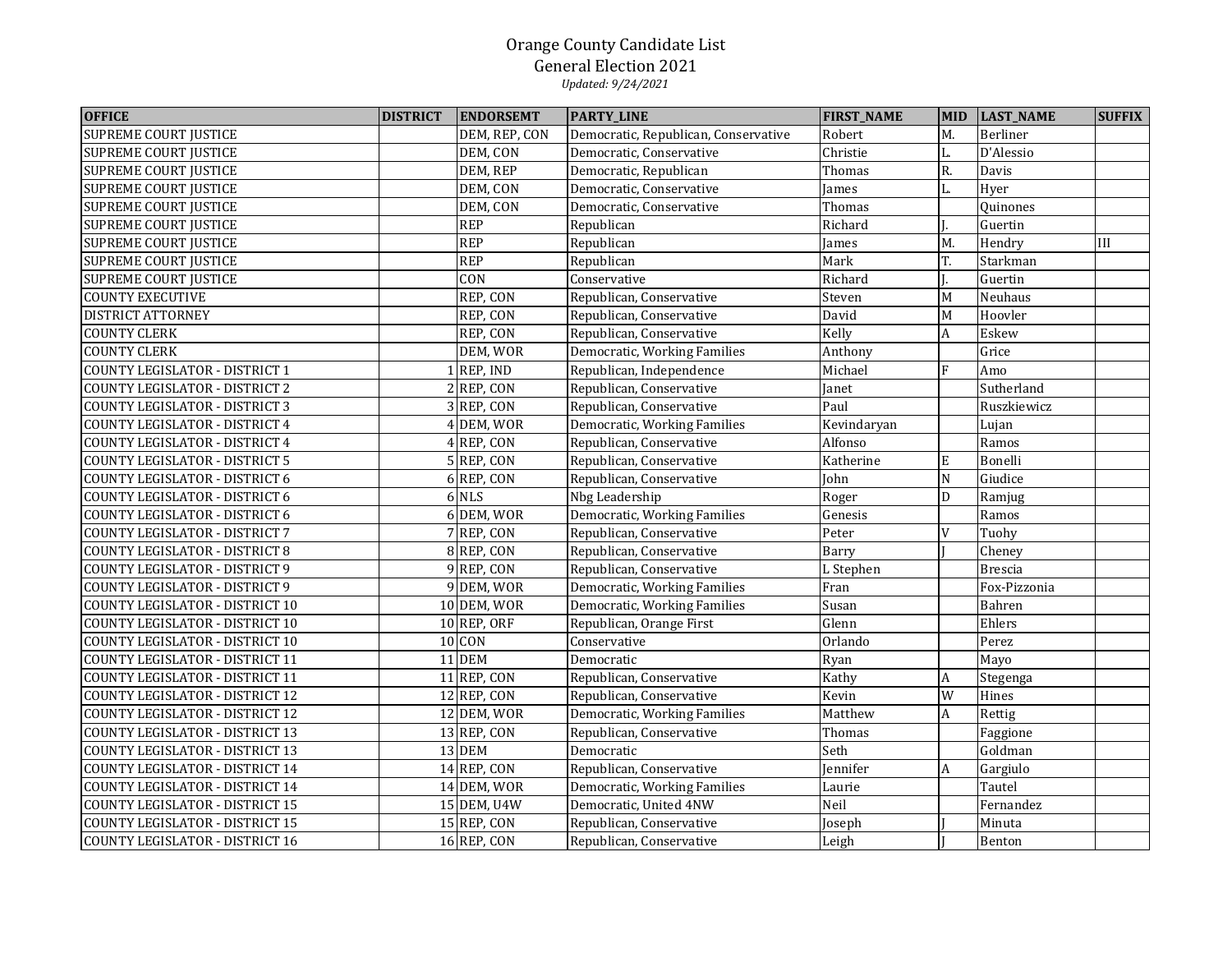| <b>OFFICE</b>                          | <b>DISTRICT</b> | <b>ENDORSEMT</b> | <b>PARTY_LINE</b>                    | <b>FIRST_NAME</b> | <b>MID</b>       | <b>LAST_NAME</b> | <b>SUFFIX</b> |
|----------------------------------------|-----------------|------------------|--------------------------------------|-------------------|------------------|------------------|---------------|
| <b>SUPREME COURT JUSTICE</b>           |                 | DEM, REP, CON    | Democratic, Republican, Conservative | Robert            | M.               | Berliner         |               |
| <b>SUPREME COURT JUSTICE</b>           |                 | DEM, CON         | Democratic, Conservative             | Christie          | L.               | D'Alessio        |               |
| <b>SUPREME COURT JUSTICE</b>           |                 | DEM, REP         | Democratic, Republican               | Thomas            | R.               | Davis            |               |
| <b>SUPREME COURT JUSTICE</b>           |                 | DEM, CON         | Democratic, Conservative             | James             | L.               | Hyer             |               |
| <b>SUPREME COURT JUSTICE</b>           |                 | DEM, CON         | Democratic, Conservative             | Thomas            |                  | Ouinones         |               |
| <b>SUPREME COURT JUSTICE</b>           |                 | <b>REP</b>       | Republican                           | Richard           |                  | Guertin          |               |
| <b>SUPREME COURT JUSTICE</b>           |                 | <b>REP</b>       | Republican                           | James             | M.               | Hendry           | III           |
| <b>SUPREME COURT JUSTICE</b>           |                 | <b>REP</b>       | Republican                           | Mark              | T.               | Starkman         |               |
| <b>SUPREME COURT JUSTICE</b>           |                 | CON              | Conservative                         | Richard           |                  | Guertin          |               |
| <b>COUNTY EXECUTIVE</b>                |                 | REP, CON         | Republican, Conservative             | Steven            | M                | Neuhaus          |               |
| DISTRICT ATTORNEY                      |                 | REP, CON         | Republican, Conservative             | David             | M                | Hoovler          |               |
| <b>COUNTY CLERK</b>                    |                 | REP, CON         | Republican, Conservative             | Kelly             | $\boldsymbol{A}$ | Eskew            |               |
| <b>COUNTY CLERK</b>                    |                 | DEM, WOR         | Democratic, Working Families         | Anthony           |                  | Grice            |               |
| <b>COUNTY LEGISLATOR - DISTRICT 1</b>  |                 | $1$ REP, IND     | Republican, Independence             | Michael           | F                | Amo              |               |
| COUNTY LEGISLATOR - DISTRICT 2         |                 | $2$ REP, CON     | Republican, Conservative             | Janet             |                  | Sutherland       |               |
| COUNTY LEGISLATOR - DISTRICT 3         |                 | 3 REP, CON       | Republican, Conservative             | Paul              |                  | Ruszkiewicz      |               |
| COUNTY LEGISLATOR - DISTRICT 4         |                 | 4 DEM, WOR       | Democratic, Working Families         | Kevindaryan       |                  | Lujan            |               |
| COUNTY LEGISLATOR - DISTRICT 4         |                 | 4 REP, CON       | Republican, Conservative             | Alfonso           |                  | Ramos            |               |
| <b>COUNTY LEGISLATOR - DISTRICT 5</b>  |                 | 5 REP, CON       | Republican, Conservative             | Katherine         | ${\bf E}$        | Bonelli          |               |
| COUNTY LEGISLATOR - DISTRICT 6         |                 | 6 REP, CON       | Republican, Conservative             | John              | $\mathbf N$      | Giudice          |               |
| <b>COUNTY LEGISLATOR - DISTRICT 6</b>  |                 | 6 NLS            | Nbg Leadership                       | Roger             | D                | Ramjug           |               |
| COUNTY LEGISLATOR - DISTRICT 6         |                 | 6 DEM, WOR       | Democratic, Working Families         | Genesis           |                  | Ramos            |               |
| <b>COUNTY LEGISLATOR - DISTRICT 7</b>  |                 | 7 REP, CON       | Republican, Conservative             | Peter             | V                | Tuohy            |               |
| <b>COUNTY LEGISLATOR - DISTRICT 8</b>  |                 | 8 REP, CON       | Republican, Conservative             | Barry             |                  | Cheney           |               |
| <b>COUNTY LEGISLATOR - DISTRICT 9</b>  |                 | 9REP, CON        | Republican, Conservative             | L Stephen         |                  | <b>Brescia</b>   |               |
| <b>COUNTY LEGISLATOR - DISTRICT 9</b>  |                 | 9 DEM, WOR       | Democratic, Working Families         | Fran              |                  | Fox-Pizzonia     |               |
| COUNTY LEGISLATOR - DISTRICT 10        |                 | 10 DEM, WOR      | Democratic, Working Families         | Susan             |                  | Bahren           |               |
| COUNTY LEGISLATOR - DISTRICT 10        |                 | $10$ REP, ORF    | Republican, Orange First             | Glenn             |                  | Ehlers           |               |
| COUNTY LEGISLATOR - DISTRICT 10        |                 | 10 CON           | Conservative                         | Orlando           |                  | Perez            |               |
| COUNTY LEGISLATOR - DISTRICT 11        |                 | <b>11 DEM</b>    | Democratic                           | Ryan              |                  | Mayo             |               |
| COUNTY LEGISLATOR - DISTRICT 11        |                 | $11$ REP, CON    | Republican, Conservative             | Kathy             | A                | Stegenga         |               |
| COUNTY LEGISLATOR - DISTRICT 12        |                 | 12 REP, CON      | Republican, Conservative             | Kevin             | W                | Hines            |               |
| COUNTY LEGISLATOR - DISTRICT 12        |                 | 12 DEM, WOR      | Democratic, Working Families         | Matthew           | A                | Rettig           |               |
| <b>COUNTY LEGISLATOR - DISTRICT 13</b> |                 | 13 REP, CON      | Republican, Conservative             | Thomas            |                  | Faggione         |               |
| <b>COUNTY LEGISLATOR - DISTRICT 13</b> |                 | 13 DEM           | Democratic                           | Seth              |                  | Goldman          |               |
| COUNTY LEGISLATOR - DISTRICT 14        |                 | $14$ REP, CON    | Republican, Conservative             | Jennifer          | $\boldsymbol{A}$ | Gargiulo         |               |
| <b>COUNTY LEGISLATOR - DISTRICT 14</b> |                 | 14 DEM, WOR      | Democratic, Working Families         | Laurie            |                  | Tautel           |               |
| <b>COUNTY LEGISLATOR - DISTRICT 15</b> |                 | 15 DEM, U4W      | Democratic, United 4NW               | Neil              |                  | Fernandez        |               |
| <b>COUNTY LEGISLATOR - DISTRICT 15</b> |                 | 15 REP, CON      | Republican, Conservative             | Joseph            |                  | Minuta           |               |
| <b>COUNTY LEGISLATOR - DISTRICT 16</b> |                 | 16 REP, CON      | Republican, Conservative             | Leigh             |                  | Benton           |               |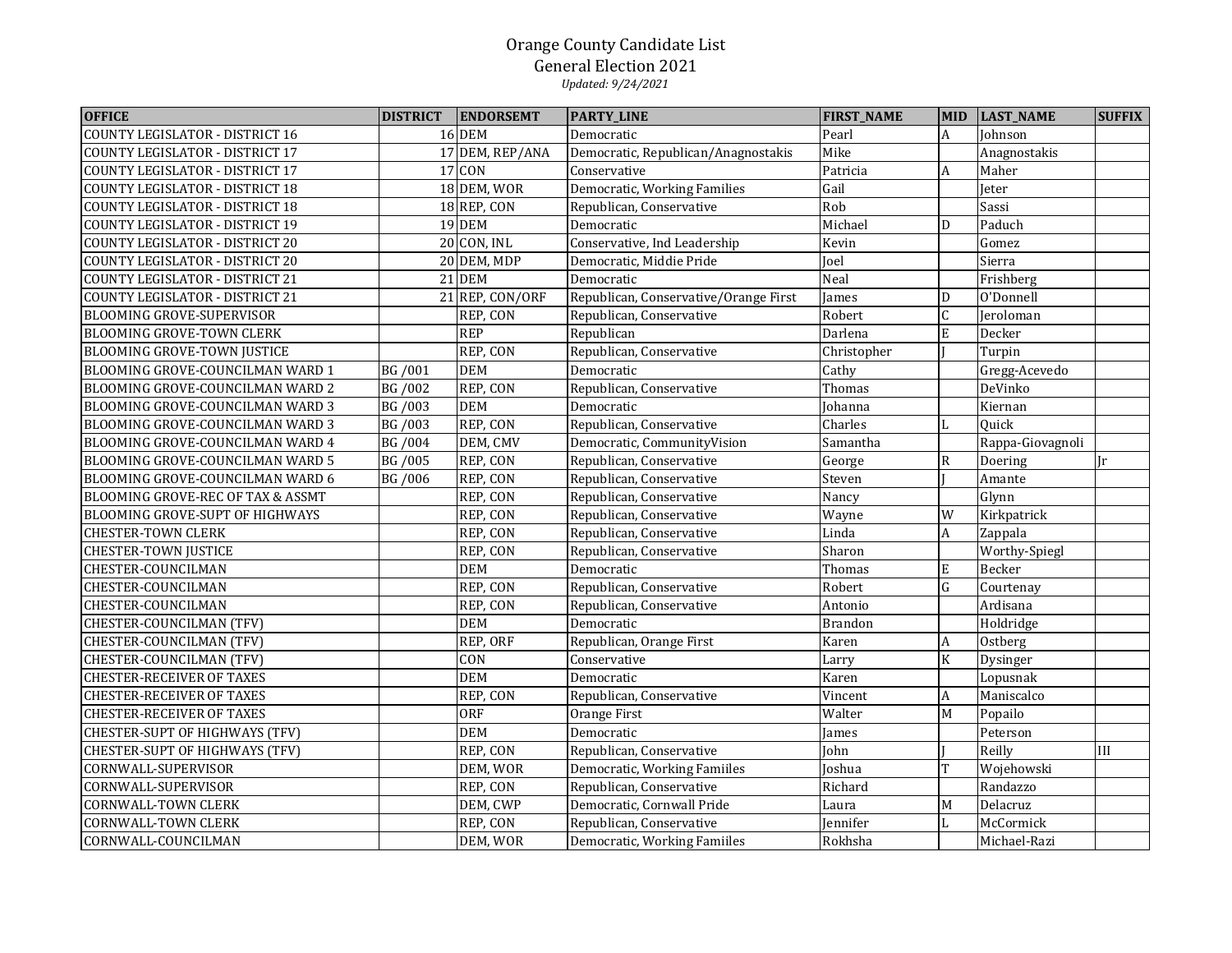| <b>OFFICE</b>                          | <b>DISTRICT</b> | <b>ENDORSEMT</b> | <b>PARTY_LINE</b>                     | <b>FIRST_NAME</b> | <b>MID</b>              | <b>LAST_NAME</b> | <b>SUFFIX</b> |
|----------------------------------------|-----------------|------------------|---------------------------------------|-------------------|-------------------------|------------------|---------------|
| <b>COUNTY LEGISLATOR - DISTRICT 16</b> |                 | <b>16 DEM</b>    | Democratic                            | Pearl             | $\overline{A}$          | Johnson          |               |
| <b>COUNTY LEGISLATOR - DISTRICT 17</b> |                 | 17 DEM, REP/ANA  | Democratic, Republican/Anagnostakis   | Mike              |                         | Anagnostakis     |               |
| COUNTY LEGISLATOR - DISTRICT 17        |                 | 17 CON           | Conservative                          | Patricia          | $\overline{A}$          | Maher            |               |
| COUNTY LEGISLATOR - DISTRICT 18        |                 | 18 DEM, WOR      | Democratic, Working Families          | Gail              |                         | Jeter            |               |
| <b>COUNTY LEGISLATOR - DISTRICT 18</b> |                 | 18 REP, CON      | Republican, Conservative              | Rob               |                         | Sassi            |               |
| COUNTY LEGISLATOR - DISTRICT 19        |                 | <b>19 DEM</b>    | Democratic                            | Michael           | D                       | Paduch           |               |
| COUNTY LEGISLATOR - DISTRICT 20        |                 | 20 CON, INL      | Conservative, Ind Leadership          | Kevin             |                         | Gomez            |               |
| <b>COUNTY LEGISLATOR - DISTRICT 20</b> |                 | 20 DEM, MDP      | Democratic, Middie Pride              | Joel              |                         | Sierra           |               |
| COUNTY LEGISLATOR - DISTRICT 21        |                 | <b>21 DEM</b>    | Democratic                            | Neal              |                         | Frishberg        |               |
| COUNTY LEGISLATOR - DISTRICT 21        |                 | 21 REP, CON/ORF  | Republican, Conservative/Orange First | James             | D                       | O'Donnell        |               |
| BLOOMING GROVE-SUPERVISOR              |                 | REP, CON         | Republican, Conservative              | Robert            | $\mathsf C$             | Jeroloman        |               |
| BLOOMING GROVE-TOWN CLERK              |                 | <b>REP</b>       | Republican                            | Darlena           | ${\bf E}$               | Decker           |               |
| <b>BLOOMING GROVE-TOWN JUSTICE</b>     |                 | REP, CON         | Republican, Conservative              | Christopher       |                         | Turpin           |               |
| BLOOMING GROVE-COUNCILMAN WARD 1       | BG /001         | <b>DEM</b>       | Democratic                            | Cathy             |                         | Gregg-Acevedo    |               |
| BLOOMING GROVE-COUNCILMAN WARD 2       | BG /002         | REP, CON         | Republican, Conservative              | Thomas            |                         | DeVinko          |               |
| BLOOMING GROVE-COUNCILMAN WARD 3       | BG /003         | <b>DEM</b>       | Democratic                            | Johanna           |                         | Kiernan          |               |
| BLOOMING GROVE-COUNCILMAN WARD 3       | BG /003         | REP, CON         | Republican, Conservative              | Charles           | L                       | Quick            |               |
| BLOOMING GROVE-COUNCILMAN WARD 4       | BG /004         | DEM, CMV         | Democratic, CommunityVision           | Samantha          |                         | Rappa-Giovagnoli |               |
| BLOOMING GROVE-COUNCILMAN WARD 5       | BG /005         | REP, CON         | Republican, Conservative              | George            | ${\bf R}$               | Doering          | Ir            |
| BLOOMING GROVE-COUNCILMAN WARD 6       | BG /006         | REP, CON         | Republican, Conservative              | Steven            |                         | Amante           |               |
| BLOOMING GROVE-REC OF TAX & ASSMT      |                 | REP, CON         | Republican, Conservative              | Nancy             |                         | Glynn            |               |
| BLOOMING GROVE-SUPT OF HIGHWAYS        |                 | REP, CON         | Republican, Conservative              | Wayne             | W                       | Kirkpatrick      |               |
| <b>CHESTER-TOWN CLERK</b>              |                 | REP, CON         | Republican, Conservative              | Linda             | $\boldsymbol{A}$        | Zappala          |               |
| <b>CHESTER-TOWN JUSTICE</b>            |                 | REP, CON         | Republican, Conservative              | Sharon            |                         | Worthy-Spiegl    |               |
| CHESTER-COUNCILMAN                     |                 | <b>DEM</b>       | Democratic                            | Thomas            | $\mathbf E$             | Becker           |               |
| CHESTER-COUNCILMAN                     |                 | REP, CON         | Republican, Conservative              | Robert            | ${\bf G}$               | Courtenay        |               |
| CHESTER-COUNCILMAN                     |                 | REP, CON         | Republican, Conservative              | Antonio           |                         | Ardisana         |               |
| CHESTER-COUNCILMAN (TFV)               |                 | <b>DEM</b>       | Democratic                            | <b>Brandon</b>    |                         | Holdridge        |               |
| CHESTER-COUNCILMAN (TFV)               |                 | REP, ORF         | Republican, Orange First              | Karen             | $\boldsymbol{A}$        | Ostberg          |               |
| CHESTER-COUNCILMAN (TFV)               |                 | CON              | Conservative                          | Larry             | $\overline{\mathbf{K}}$ | Dysinger         |               |
| <b>CHESTER-RECEIVER OF TAXES</b>       |                 | <b>DEM</b>       | Democratic                            | Karen             |                         | Lopusnak         |               |
| CHESTER-RECEIVER OF TAXES              |                 | REP, CON         | Republican, Conservative              | Vincent           | $\boldsymbol{A}$        | Maniscalco       |               |
| CHESTER-RECEIVER OF TAXES              |                 | <b>ORF</b>       | Orange First                          | Walter            | M                       | Popailo          |               |
| CHESTER-SUPT OF HIGHWAYS (TFV)         |                 | <b>DEM</b>       | Democratic                            | James             |                         | Peterson         |               |
| <b>CHESTER-SUPT OF HIGHWAYS (TFV)</b>  |                 | REP, CON         | Republican, Conservative              | John              |                         | Reilly           | III           |
| CORNWALL-SUPERVISOR                    |                 | DEM, WOR         | Democratic, Working Famiiles          | Joshua            | T                       | Wojehowski       |               |
| CORNWALL-SUPERVISOR                    |                 | REP, CON         | Republican, Conservative              | Richard           |                         | Randazzo         |               |
| CORNWALL-TOWN CLERK                    |                 | DEM, CWP         | Democratic, Cornwall Pride            | Laura             | M                       | Delacruz         |               |
| <b>CORNWALL-TOWN CLERK</b>             |                 | REP, CON         | Republican, Conservative              | Jennifer          | L                       | McCormick        |               |
| CORNWALL-COUNCILMAN                    |                 | DEM, WOR         | Democratic, Working Famiiles          | Rokhsha           |                         | Michael-Razi     |               |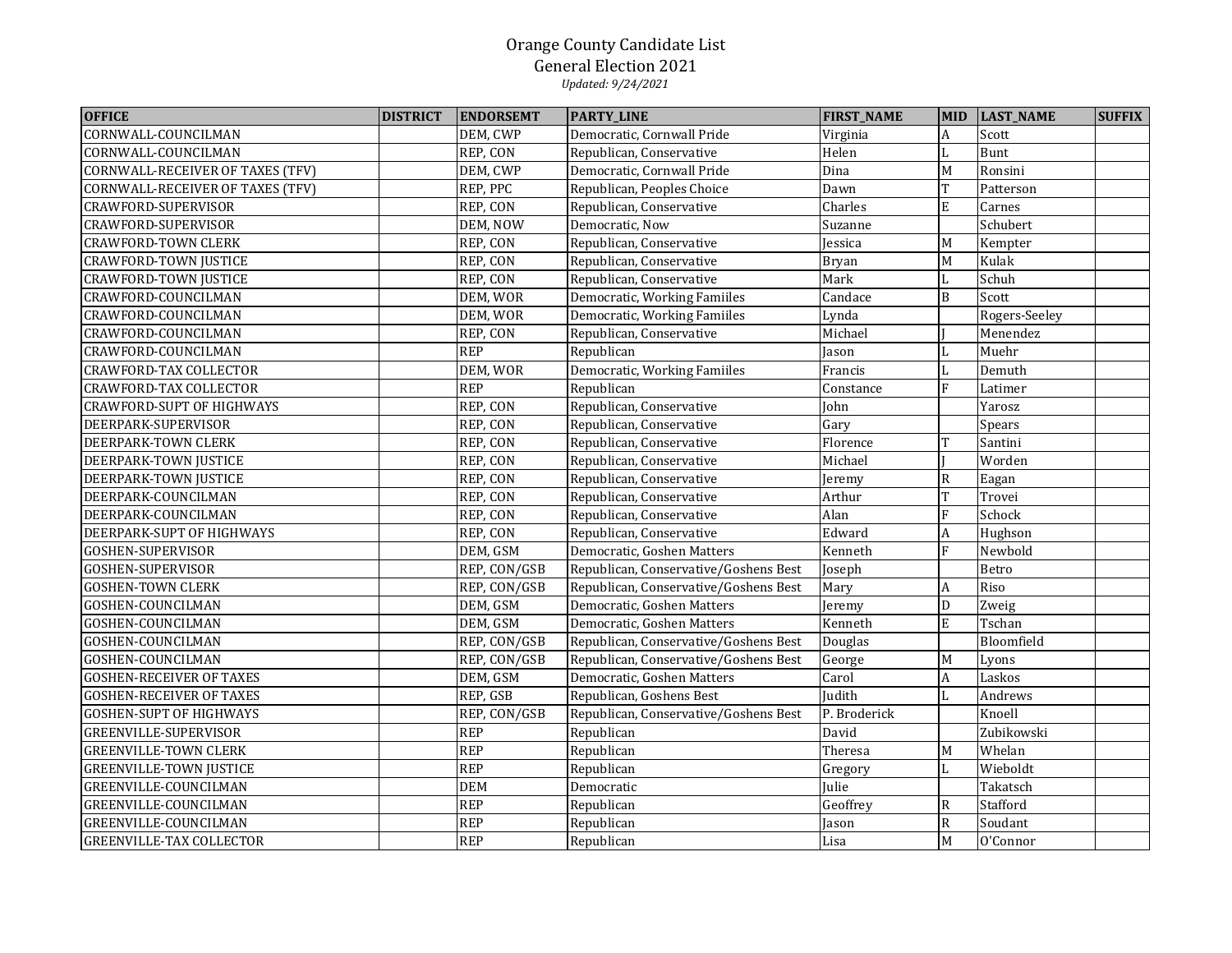| <b>OFFICE</b>                           | <b>DISTRICT</b> | <b>ENDORSEMT</b> | <b>PARTY_LINE</b>                     | <b>FIRST_NAME</b>     | <b>MID</b>     | <b>LAST_NAME</b> | <b>SUFFIX</b> |
|-----------------------------------------|-----------------|------------------|---------------------------------------|-----------------------|----------------|------------------|---------------|
| CORNWALL-COUNCILMAN                     |                 | DEM, CWP         | Democratic, Cornwall Pride            | Virginia              | A              | Scott            |               |
| CORNWALL-COUNCILMAN                     |                 | REP, CON         | Republican, Conservative              | Helen                 | L              | Bunt             |               |
| <b>CORNWALL-RECEIVER OF TAXES (TFV)</b> |                 | DEM, CWP         | Democratic, Cornwall Pride            | Dina                  | M              | Ronsini          |               |
| CORNWALL-RECEIVER OF TAXES (TFV)        |                 | REP, PPC         | Republican, Peoples Choice            | Dawn                  | T              | Patterson        |               |
| CRAWFORD-SUPERVISOR                     |                 | REP, CON         | Republican, Conservative              | Charles               | E              | Carnes           |               |
| CRAWFORD-SUPERVISOR                     |                 | DEM, NOW         | Democratic, Now                       | Suzanne               |                | Schubert         |               |
| <b>CRAWFORD-TOWN CLERK</b>              |                 | REP, CON         | Republican, Conservative              | Jessica               | M              | Kempter          |               |
| <b>CRAWFORD-TOWN JUSTICE</b>            |                 | REP, CON         | Republican, Conservative              | <b>Bryan</b>          | $\overline{M}$ | Kulak            |               |
| <b>CRAWFORD-TOWN JUSTICE</b>            |                 | REP, CON         | Republican, Conservative              | Mark                  | L              | Schuh            |               |
| CRAWFORD-COUNCILMAN                     |                 | DEM, WOR         | Democratic, Working Famiiles          | $\overline{C}$ andace | $\, {\bf B}$   | Scott            |               |
| CRAWFORD-COUNCILMAN                     |                 | DEM, WOR         | Democratic, Working Famiiles          | Lynda                 |                | Rogers-Seeley    |               |
| CRAWFORD-COUNCILMAN                     |                 | REP, CON         | Republican, Conservative              | Michael               |                | Menendez         |               |
| CRAWFORD-COUNCILMAN                     |                 | <b>REP</b>       | Republican                            | Jason                 |                | Muehr            |               |
| <b>CRAWFORD-TAX COLLECTOR</b>           |                 | DEM, WOR         | Democratic, Working Famiiles          | Francis               | L              | Demuth           |               |
| <b>CRAWFORD-TAX COLLECTOR</b>           |                 | <b>REP</b>       | Republican                            | Constance             | F              | Latimer          |               |
| <b>CRAWFORD-SUPT OF HIGHWAYS</b>        |                 | REP, CON         | Republican, Conservative              | John                  |                | Yarosz           |               |
| DEERPARK-SUPERVISOR                     |                 | REP, CON         | Republican, Conservative              | Gary                  |                | Spears           |               |
| DEERPARK-TOWN CLERK                     |                 | REP, CON         | Republican, Conservative              | Florence              | T              | Santini          |               |
| DEERPARK-TOWN JUSTICE                   |                 | REP, CON         | Republican, Conservative              | Michael               |                | Worden           |               |
| DEERPARK-TOWN JUSTICE                   |                 | REP, CON         | Republican, Conservative              | Jeremy                | R              | Eagan            |               |
| DEERPARK-COUNCILMAN                     |                 | REP, CON         | Republican, Conservative              | Arthur                | T              | Trovei           |               |
| DEERPARK-COUNCILMAN                     |                 | REP, CON         | Republican, Conservative              | Alan                  | $\rm F$        | Schock           |               |
| DEERPARK-SUPT OF HIGHWAYS               |                 | REP, CON         | Republican, Conservative              | Edward                | A              | Hughson          |               |
| <b>GOSHEN-SUPERVISOR</b>                |                 | DEM, GSM         | Democratic, Goshen Matters            | Kenneth               | F              | Newbold          |               |
| <b>GOSHEN-SUPERVISOR</b>                |                 | REP, CON/GSB     | Republican, Conservative/Goshens Best | Joseph                |                | Betro            |               |
| <b>GOSHEN-TOWN CLERK</b>                |                 | REP, CON/GSB     | Republican, Conservative/Goshens Best | Mary                  | A              | Riso             |               |
| GOSHEN-COUNCILMAN                       |                 | DEM, GSM         | Democratic, Goshen Matters            | Jeremy                | ${\mathbb D}$  | Zweig            |               |
| GOSHEN-COUNCILMAN                       |                 | DEM, GSM         | Democratic, Goshen Matters            | Kenneth               | E              | Tschan           |               |
| GOSHEN-COUNCILMAN                       |                 | REP, CON/GSB     | Republican, Conservative/Goshens Best | Douglas               |                | Bloomfield       |               |
| GOSHEN-COUNCILMAN                       |                 | REP, CON/GSB     | Republican, Conservative/Goshens Best | George                | M              | Lyons            |               |
| <b>GOSHEN-RECEIVER OF TAXES</b>         |                 | DEM, GSM         | Democratic, Goshen Matters            | Carol                 | A              | Laskos           |               |
| <b>GOSHEN-RECEIVER OF TAXES</b>         |                 | REP, GSB         | Republican, Goshens Best              | Judith                | L              | Andrews          |               |
| <b>GOSHEN-SUPT OF HIGHWAYS</b>          |                 | REP, CON/GSB     | Republican, Conservative/Goshens Best | P. Broderick          |                | Knoell           |               |
| GREENVILLE-SUPERVISOR                   |                 | <b>REP</b>       | Republican                            | David                 |                | Zubikowski       |               |
| <b>GREENVILLE-TOWN CLERK</b>            |                 | <b>REP</b>       | Republican                            | Theresa               | M              | Whelan           |               |
| <b>GREENVILLE-TOWN JUSTICE</b>          |                 | <b>REP</b>       | Republican                            | Gregory               | L              | Wieboldt         |               |
| GREENVILLE-COUNCILMAN                   |                 | <b>DEM</b>       | Democratic                            | Julie                 |                | Takatsch         |               |
| GREENVILLE-COUNCILMAN                   |                 | <b>REP</b>       | Republican                            | Geoffrey              | $\mathbb R$    | Stafford         |               |
| GREENVILLE-COUNCILMAN                   |                 | <b>REP</b>       | Republican                            | Jason                 | ${\sf R}$      | Soudant          |               |
| <b>GREENVILLE-TAX COLLECTOR</b>         |                 | <b>REP</b>       | Republican                            | Lisa                  | $\overline{M}$ | O'Connor         |               |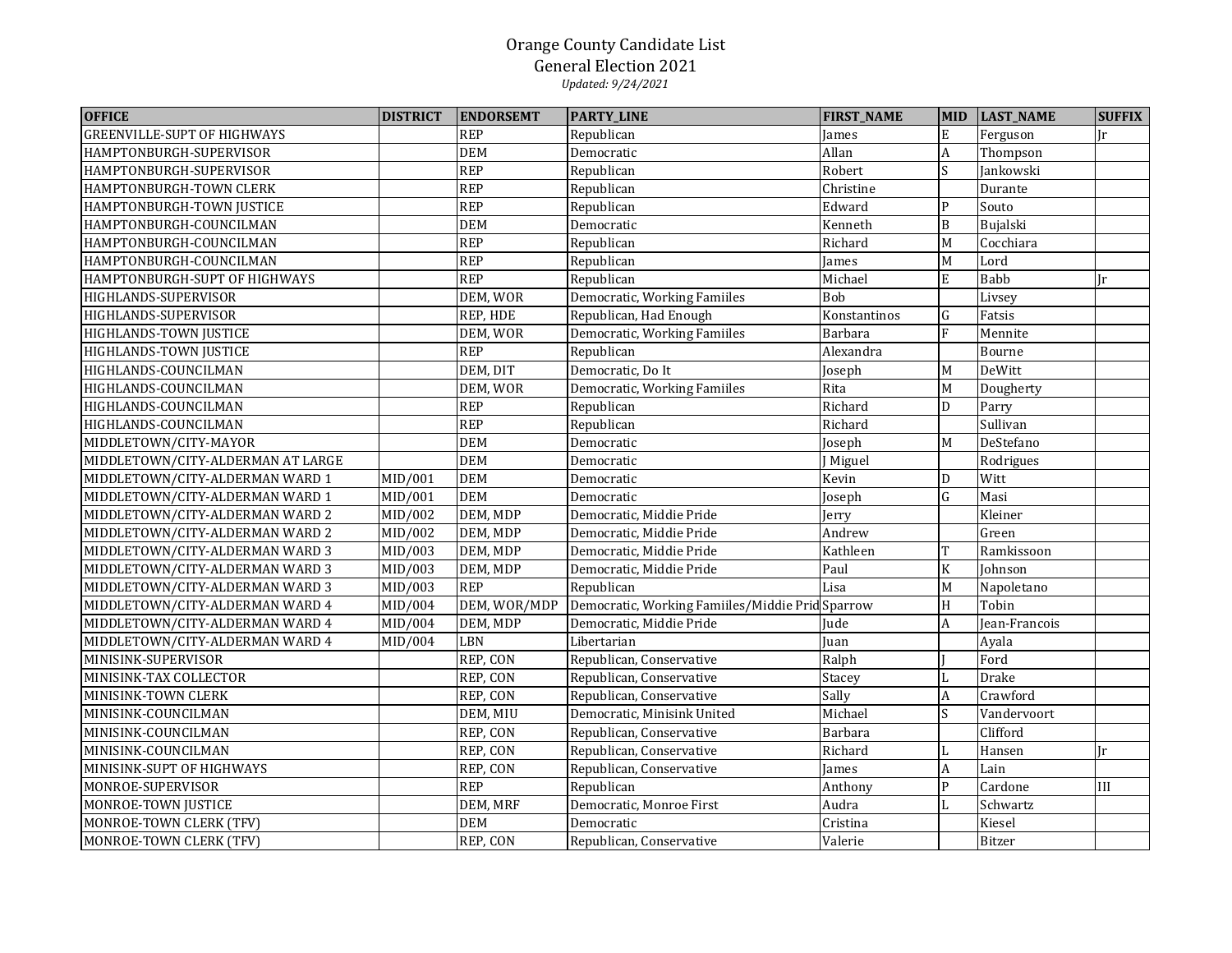| <b>OFFICE</b>                      | <b>DISTRICT</b> | <b>ENDORSEMT</b> | <b>PARTY_LINE</b>                                | <b>FIRST_NAME</b> |                  | MID LAST_NAME | <b>SUFFIX</b> |
|------------------------------------|-----------------|------------------|--------------------------------------------------|-------------------|------------------|---------------|---------------|
| <b>GREENVILLE-SUPT OF HIGHWAYS</b> |                 | <b>REP</b>       | Republican                                       | James             | ${\bf E}$        | Ferguson      | Ir            |
| HAMPTONBURGH-SUPERVISOR            |                 | <b>DEM</b>       | Democratic                                       | Allan             | $\boldsymbol{A}$ | Thompson      |               |
| HAMPTONBURGH-SUPERVISOR            |                 | <b>REP</b>       | Republican                                       | Robert            | S                | Jankowski     |               |
| HAMPTONBURGH-TOWN CLERK            |                 | <b>REP</b>       | Republican                                       | Christine         |                  | Durante       |               |
| HAMPTONBURGH-TOWN JUSTICE          |                 | <b>REP</b>       | Republican                                       | Edward            | ${\bf P}$        | Souto         |               |
| HAMPTONBURGH-COUNCILMAN            |                 | <b>DEM</b>       | Democratic                                       | Kenneth           | $\, {\bf B}$     | Bujalski      |               |
| HAMPTONBURGH-COUNCILMAN            |                 | <b>REP</b>       | Republican                                       | Richard           | M                | Cocchiara     |               |
| HAMPTONBURGH-COUNCILMAN            |                 | <b>REP</b>       | Republican                                       | James             | M                | Lord          |               |
| HAMPTONBURGH-SUPT OF HIGHWAYS      |                 | <b>REP</b>       | Republican                                       | Michael           | ${\bf E}$        | Babb          | Jr            |
| HIGHLANDS-SUPERVISOR               |                 | DEM, WOR         | Democratic, Working Famiiles                     | Bob               |                  | Livsey        |               |
| HIGHLANDS-SUPERVISOR               |                 | REP, HDE         | Republican, Had Enough                           | Konstantinos      | ${\bf G}$        | Fatsis        |               |
| HIGHLANDS-TOWN JUSTICE             |                 | DEM, WOR         | Democratic, Working Famiiles                     | Barbara           | $\overline{F}$   | Mennite       |               |
| HIGHLANDS-TOWN JUSTICE             |                 | <b>REP</b>       | Republican                                       | Alexandra         |                  | Bourne        |               |
| HIGHLANDS-COUNCILMAN               |                 | DEM, DIT         | Democratic, Do It                                | Joseph            | M                | DeWitt        |               |
| HIGHLANDS-COUNCILMAN               |                 | DEM, WOR         | Democratic, Working Famiiles                     | Rita              | M                | Dougherty     |               |
| HIGHLANDS-COUNCILMAN               |                 | <b>REP</b>       | Republican                                       | Richard           | $\mathbf D$      | Parry         |               |
| HIGHLANDS-COUNCILMAN               |                 | <b>REP</b>       | Republican                                       | Richard           |                  | Sullivan      |               |
| MIDDLETOWN/CITY-MAYOR              |                 | <b>DEM</b>       | Democratic                                       | Joseph            | M                | DeStefano     |               |
| MIDDLETOWN/CITY-ALDERMAN AT LARGE  |                 | <b>DEM</b>       | Democratic                                       | J Miguel          |                  | Rodrigues     |               |
| MIDDLETOWN/CITY-ALDERMAN WARD 1    | MID/001         | <b>DEM</b>       | Democratic                                       | Kevin             | D                | Witt          |               |
| MIDDLETOWN/CITY-ALDERMAN WARD 1    | MID/001         | <b>DEM</b>       | Democratic                                       | Joseph            | $\overline{G}$   | Masi          |               |
| MIDDLETOWN/CITY-ALDERMAN WARD 2    | MID/002         | DEM, MDP         | Democratic, Middie Pride                         | Jerry             |                  | Kleiner       |               |
| MIDDLETOWN/CITY-ALDERMAN WARD 2    | MID/002         | DEM, MDP         | Democratic, Middie Pride                         | Andrew            |                  | Green         |               |
| MIDDLETOWN/CITY-ALDERMAN WARD 3    | MID/003         | DEM, MDP         | Democratic, Middie Pride                         | Kathleen          | $\mathbf T$      | Ramkissoon    |               |
| MIDDLETOWN/CITY-ALDERMAN WARD 3    | MID/003         | DEM, MDP         | Democratic, Middie Pride                         | Paul              | $\rm K$          | Johnson       |               |
| MIDDLETOWN/CITY-ALDERMAN WARD 3    | MID/003         | <b>REP</b>       | Republican                                       | Lisa              | M                | Napoletano    |               |
| MIDDLETOWN/CITY-ALDERMAN WARD 4    | MID/004         | DEM, WOR/MDP     | Democratic, Working Famiiles/Middie Prid Sparrow |                   | $\rm H$          | Tobin         |               |
| MIDDLETOWN/CITY-ALDERMAN WARD 4    | MID/004         | DEM, MDP         | Democratic, Middie Pride                         | Jude              | $\boldsymbol{A}$ | Jean-Francois |               |
| MIDDLETOWN/CITY-ALDERMAN WARD 4    | MID/004         | LBN              | Libertarian                                      | Juan              |                  | Ayala         |               |
| MINISINK-SUPERVISOR                |                 | REP, CON         | Republican, Conservative                         | Ralph             |                  | Ford          |               |
| MINISINK-TAX COLLECTOR             |                 | REP, CON         | Republican, Conservative                         | Stacey            | L                | Drake         |               |
| MINISINK-TOWN CLERK                |                 | REP, CON         | Republican, Conservative                         | Sally             | $\boldsymbol{A}$ | Crawford      |               |
| MINISINK-COUNCILMAN                |                 | DEM, MIU         | Democratic, Minisink United                      | Michael           | S                | Vandervoort   |               |
| MINISINK-COUNCILMAN                |                 | REP, CON         | Republican, Conservative                         | Barbara           |                  | Clifford      |               |
| MINISINK-COUNCILMAN                |                 | REP, CON         | Republican, Conservative                         | Richard           | $\mathbf L$      | Hansen        | Ir            |
| MINISINK-SUPT OF HIGHWAYS          |                 | REP, CON         | Republican, Conservative                         | James             | $\boldsymbol{A}$ | Lain          |               |
| MONROE-SUPERVISOR                  |                 | <b>REP</b>       | Republican                                       | Anthony           | ${\bf P}$        | Cardone       | III           |
| MONROE-TOWN JUSTICE                |                 | DEM, MRF         | Democratic, Monroe First                         | Audra             | $\mathbf L$      | Schwartz      |               |
| MONROE-TOWN CLERK (TFV)            |                 | <b>DEM</b>       | Democratic                                       | Cristina          |                  | Kiesel        |               |
| MONROE-TOWN CLERK (TFV)            |                 | REP, CON         | Republican, Conservative                         | Valerie           |                  | Bitzer        |               |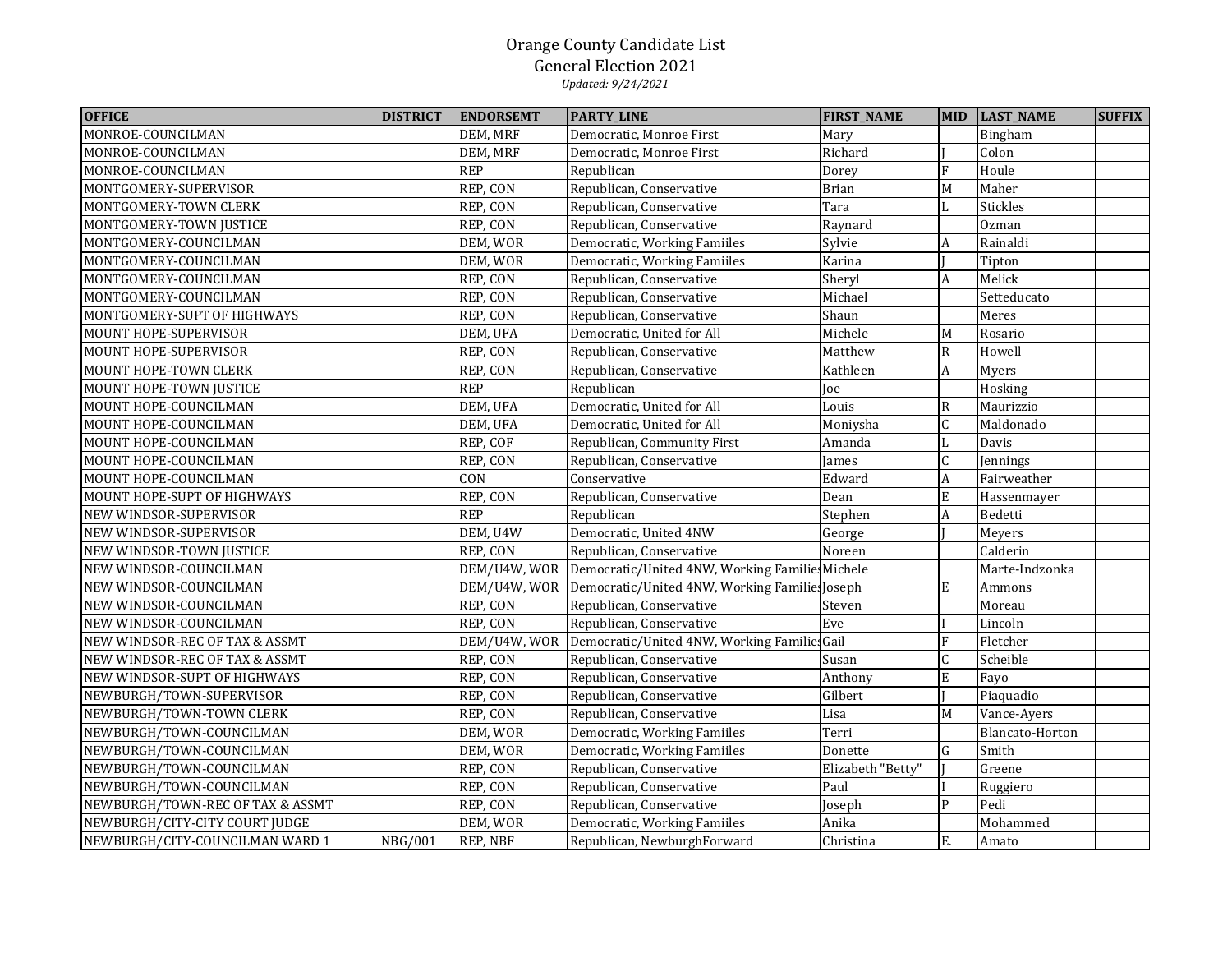| <b>OFFICE</b>                    | <b>DISTRICT</b> | <b>ENDORSEMT</b> | <b>PARTY_LINE</b>                                          | <b>FIRST_NAME</b> | <b>MID</b>       | <b>LAST_NAME</b> | <b>SUFFIX</b> |
|----------------------------------|-----------------|------------------|------------------------------------------------------------|-------------------|------------------|------------------|---------------|
| MONROE-COUNCILMAN                |                 | DEM, MRF         | Democratic, Monroe First                                   | Mary              |                  | Bingham          |               |
| MONROE-COUNCILMAN                |                 | DEM, MRF         | Democratic, Monroe First                                   | Richard           |                  | Colon            |               |
| MONROE-COUNCILMAN                |                 | <b>REP</b>       | Republican                                                 | Dorey             | F                | Houle            |               |
| MONTGOMERY-SUPERVISOR            |                 | REP, CON         | Republican, Conservative                                   | <b>Brian</b>      | $\mathbf M$      | Maher            |               |
| MONTGOMERY-TOWN CLERK            |                 | REP, CON         | Republican, Conservative                                   | Tara              | L                | <b>Stickles</b>  |               |
| MONTGOMERY-TOWN JUSTICE          |                 | REP, CON         | Republican, Conservative                                   | Raynard           |                  | Ozman            |               |
| MONTGOMERY-COUNCILMAN            |                 | DEM, WOR         | Democratic, Working Famiiles                               | Sylvie            | A                | Rainaldi         |               |
| MONTGOMERY-COUNCILMAN            |                 | DEM, WOR         | Democratic, Working Famiiles                               | Karina            |                  | Tipton           |               |
| MONTGOMERY-COUNCILMAN            |                 | REP, CON         | Republican, Conservative                                   | Sheryl            | A                | Melick           |               |
| MONTGOMERY-COUNCILMAN            |                 | REP, CON         | Republican, Conservative                                   | Michael           |                  | Setteducato      |               |
| MONTGOMERY-SUPT OF HIGHWAYS      |                 | REP, CON         | Republican, Conservative                                   | Shaun             |                  | Meres            |               |
| MOUNT HOPE-SUPERVISOR            |                 | DEM, UFA         | Democratic, United for All                                 | Michele           | M                | Rosario          |               |
| MOUNT HOPE-SUPERVISOR            |                 | REP, CON         | Republican, Conservative                                   | Matthew           | $\mathbb{R}$     | Howell           |               |
| MOUNT HOPE-TOWN CLERK            |                 | REP, CON         | Republican, Conservative                                   | Kathleen          | A                | Myers            |               |
| MOUNT HOPE-TOWN JUSTICE          |                 | <b>REP</b>       | Republican                                                 | Joe               |                  | Hosking          |               |
| MOUNT HOPE-COUNCILMAN            |                 | DEM, UFA         | Democratic, United for All                                 | Louis             | $\mathsf{R}$     | Maurizzio        |               |
| MOUNT HOPE-COUNCILMAN            |                 | DEM, UFA         | Democratic, United for All                                 | Moniysha          | C                | Maldonado        |               |
| MOUNT HOPE-COUNCILMAN            |                 | REP, COF         | Republican, Community First                                | Amanda            | L                | Davis            |               |
| MOUNT HOPE-COUNCILMAN            |                 | REP, CON         | Republican, Conservative                                   | James             | $\mathsf C$      | Jennings         |               |
| MOUNT HOPE-COUNCILMAN            |                 | CON              | Conservative                                               | Edward            | $\boldsymbol{A}$ | Fairweather      |               |
| MOUNT HOPE-SUPT OF HIGHWAYS      |                 | REP, CON         | Republican, Conservative                                   | Dean              | $\mathbf E$      | Hassenmayer      |               |
| NEW WINDSOR-SUPERVISOR           |                 | REP              | Republican                                                 | Stephen           | $\boldsymbol{A}$ | Bedetti          |               |
| NEW WINDSOR-SUPERVISOR           |                 | DEM, U4W         | Democratic, United 4NW                                     | George            |                  | Meyers           |               |
| NEW WINDSOR-TOWN JUSTICE         |                 | REP, CON         | Republican, Conservative                                   | Noreen            |                  | Calderin         |               |
| NEW WINDSOR-COUNCILMAN           |                 | DEM/U4W, WOR     | Democratic/United 4NW, Working Familie Michele             |                   |                  | Marte-Indzonka   |               |
| NEW WINDSOR-COUNCILMAN           |                 |                  | DEM/U4W, WOR Democratic/United 4NW, Working Familie Joseph |                   | E                | Ammons           |               |
| NEW WINDSOR-COUNCILMAN           |                 | REP, CON         | Republican, Conservative                                   | Steven            |                  | Moreau           |               |
| NEW WINDSOR-COUNCILMAN           |                 | REP, CON         | Republican, Conservative                                   | Eve               |                  | Lincoln          |               |
| NEW WINDSOR-REC OF TAX & ASSMT   |                 | DEM/U4W, WOR     | Democratic/United 4NW, Working Familie Gail                |                   | F                | Fletcher         |               |
| NEW WINDSOR-REC OF TAX & ASSMT   |                 | REP, CON         | Republican, Conservative                                   | Susan             | $\mathsf C$      | Scheible         |               |
| NEW WINDSOR-SUPT OF HIGHWAYS     |                 | REP, CON         | Republican, Conservative                                   | Anthony           | E                | Fayo             |               |
| NEWBURGH/TOWN-SUPERVISOR         |                 | REP, CON         | Republican, Conservative                                   | Gilbert           |                  | Piaquadio        |               |
| NEWBURGH/TOWN-TOWN CLERK         |                 | REP, CON         | Republican, Conservative                                   | Lisa              | M                | Vance-Ayers      |               |
| NEWBURGH/TOWN-COUNCILMAN         |                 | DEM, WOR         | Democratic, Working Famiiles                               | Terri             |                  | Blancato-Horton  |               |
| NEWBURGH/TOWN-COUNCILMAN         |                 | DEM, WOR         | Democratic, Working Famiiles                               | Donette           | $\mathsf G$      | Smith            |               |
| NEWBURGH/TOWN-COUNCILMAN         |                 | REP, CON         | Republican, Conservative                                   | Elizabeth "Betty" |                  | Greene           |               |
| NEWBURGH/TOWN-COUNCILMAN         |                 | REP, CON         | Republican, Conservative                                   | Paul              |                  | Ruggiero         |               |
| NEWBURGH/TOWN-REC OF TAX & ASSMT |                 | REP, CON         | Republican, Conservative                                   | Joseph            | P                | Pedi             |               |
| NEWBURGH/CITY-CITY COURT JUDGE   |                 | DEM, WOR         | Democratic, Working Famiiles                               | Anika             |                  | Mohammed         |               |
| NEWBURGH/CITY-COUNCILMAN WARD 1  | <b>NBG/001</b>  | REP, NBF         | Republican, NewburghForward                                | Christina         | Ε.               | Amato            |               |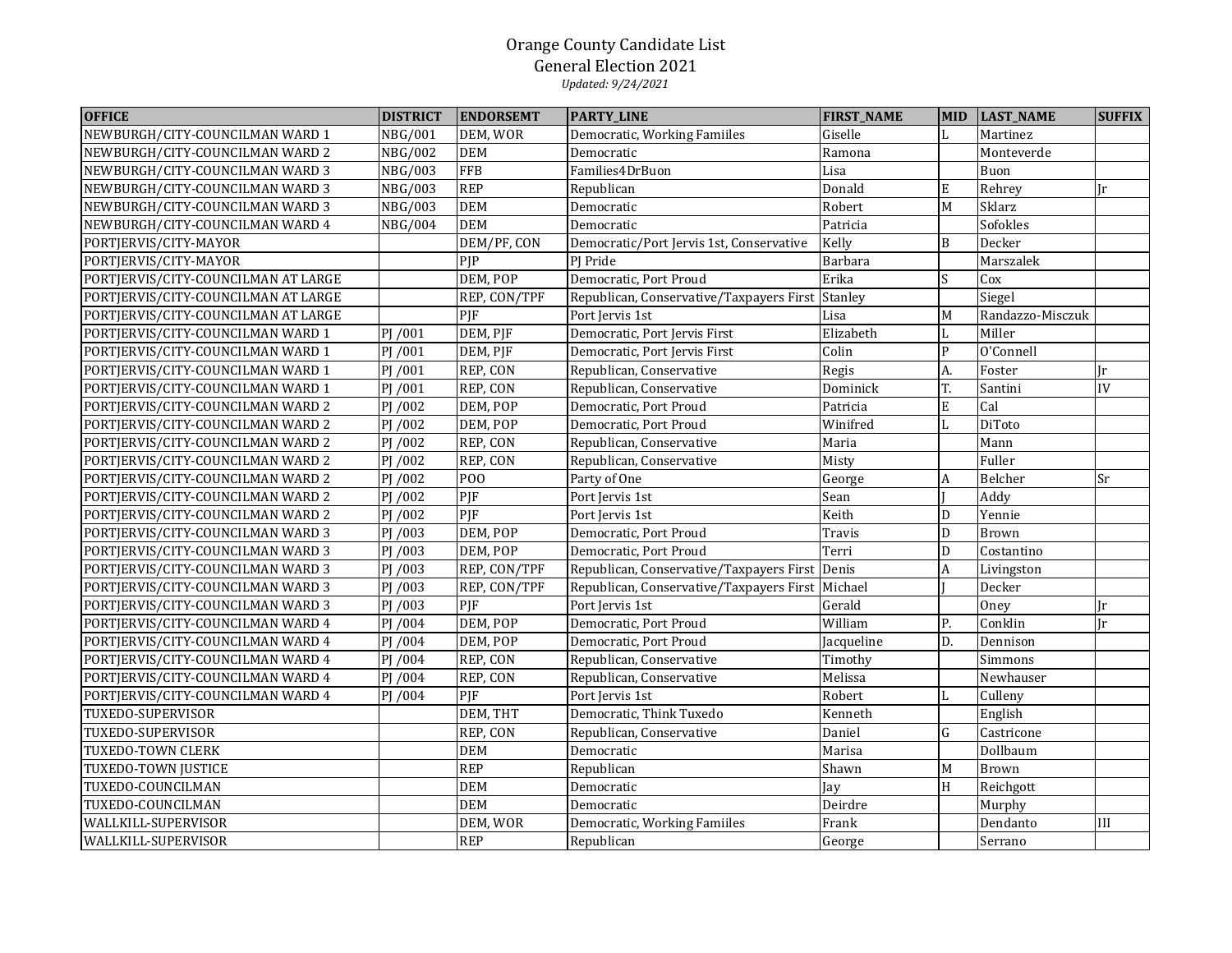| <b>OFFICE</b>                       | <b>DISTRICT</b>       | <b>ENDORSEMT</b> | <b>PARTY_LINE</b>                        | <b>FIRST_NAME</b> | MID              | <b>LAST_NAME</b> | <b>SUFFIX</b> |
|-------------------------------------|-----------------------|------------------|------------------------------------------|-------------------|------------------|------------------|---------------|
| NEWBURGH/CITY-COUNCILMAN WARD 1     | <b>NBG/001</b>        | DEM, WOR         | Democratic, Working Familles             | Giselle           | L                | Martinez         |               |
| NEWBURGH/CITY-COUNCILMAN WARD 2     | <b>NBG/002</b>        | <b>DEM</b>       | Democratic                               | Ramona            |                  | Monteverde       |               |
| NEWBURGH/CITY-COUNCILMAN WARD 3     | <b>NBG/003</b>        | <b>FFB</b>       | Families4DrBuon                          | Lisa              |                  | Buon             |               |
| NEWBURGH/CITY-COUNCILMAN WARD 3     | <b>NBG/003</b>        | <b>REP</b>       | Republican                               | Donald            | E                | Rehrey           | Jr            |
| NEWBURGH/CITY-COUNCILMAN WARD 3     | <b>NBG/003</b>        | <b>DEM</b>       | Democratic                               | Robert            | M                | Sklarz           |               |
| NEWBURGH/CITY-COUNCILMAN WARD 4     | <b>NBG/004</b>        | <b>DEM</b>       | Democratic                               | Patricia          |                  | Sofokles         |               |
| PORTJERVIS/CITY-MAYOR               |                       | DEM/PF, CON      | Democratic/Port Jervis 1st, Conservative | Kelly             | $\, {\bf B}$     | Decker           |               |
| PORTJERVIS/CITY-MAYOR               |                       | PJP              | PJ Pride                                 | Barbara           |                  | Marszalek        |               |
| PORTJERVIS/CITY-COUNCILMAN AT LARGE |                       | DEM, POP         | Democratic, Port Proud                   | Erika             | S.               | Cox              |               |
| PORTJERVIS/CITY-COUNCILMAN AT LARGE |                       | REP, CON/TPF     | Republican, Conservative/Taxpayers First | Stanley           |                  | Siegel           |               |
| PORTJERVIS/CITY-COUNCILMAN AT LARGE |                       | PJF              | Port Jervis 1st                          | Lisa              | M                | Randazzo-Misczuk |               |
| PORTJERVIS/CITY-COUNCILMAN WARD 1   | PJ /001               | DEM, PJF         | Democratic, Port Jervis First            | Elizabeth         | L                | Miller           |               |
| PORTJERVIS/CITY-COUNCILMAN WARD 1   | $\overline{P}$ J /001 | DEM, PJF         | Democratic, Port Jervis First            | Colin             | ${\sf P}$        | O'Connell        |               |
| PORTJERVIS/CITY-COUNCILMAN WARD 1   | PJ /001               | REP, CON         | Republican, Conservative                 | Regis             | A.               | Foster           | $\mathbf{r}$  |
| PORTJERVIS/CITY-COUNCILMAN WARD 1   | PJ /001               | REP, CON         | Republican, Conservative                 | Dominick          | T.               | Santini          | IV            |
| PORTJERVIS/CITY-COUNCILMAN WARD 2   | PJ /002               | DEM, POP         | Democratic, Port Proud                   | Patricia          | $\mathbf E$      | Cal              |               |
| PORTJERVIS/CITY-COUNCILMAN WARD 2   | PJ /002               | DEM, POP         | Democratic, Port Proud                   | Winifred          | L                | DiToto           |               |
| PORTJERVIS/CITY-COUNCILMAN WARD 2   | PJ /002               | REP, CON         | Republican, Conservative                 | Maria             |                  | Mann             |               |
| PORTJERVIS/CITY-COUNCILMAN WARD 2   | PJ /002               | REP, CON         | Republican, Conservative                 | Misty             |                  | Fuller           |               |
| PORTJERVIS/CITY-COUNCILMAN WARD 2   | PJ /002               | P <sub>O</sub>   | Party of One                             | George            | A                | Belcher          | Sr            |
| PORTJERVIS/CITY-COUNCILMAN WARD 2   | PJ /002               | PJF              | Port Jervis 1st                          | Sean              |                  | Addy             |               |
| PORTJERVIS/CITY-COUNCILMAN WARD 2   | PJ /002               | PJF              | Port Jervis 1st                          | Keith             | ${\mathbb D}$    | Yennie           |               |
| PORTJERVIS/CITY-COUNCILMAN WARD 3   | PJ /003               | DEM, POP         | Democratic, Port Proud                   | Travis            | $\mathbf D$      | Brown            |               |
| PORTJERVIS/CITY-COUNCILMAN WARD 3   | PJ /003               | DEM, POP         | Democratic, Port Proud                   | Terri             | D                | Costantino       |               |
| PORTJERVIS/CITY-COUNCILMAN WARD 3   | PJ /003               | REP, CON/TPF     | Republican, Conservative/Taxpayers First | Denis             | $\boldsymbol{A}$ | Livingston       |               |
| PORTJERVIS/CITY-COUNCILMAN WARD 3   | PJ /003               | REP, CON/TPF     | Republican, Conservative/Taxpayers First | Michael           |                  | Decker           |               |
| PORTJERVIS/CITY-COUNCILMAN WARD 3   | PJ /003               | PJF              | Port Jervis 1st                          | Gerald            |                  | Oney             | Jr            |
| PORTJERVIS/CITY-COUNCILMAN WARD 4   | PJ /004               | DEM, POP         | Democratic, Port Proud                   | William           | Ρ.               | Conklin          | Ir            |
| PORTJERVIS/CITY-COUNCILMAN WARD 4   | PJ /004               | DEM, POP         | Democratic, Port Proud                   | Jacqueline        | D.               | Dennison         |               |
| PORTJERVIS/CITY-COUNCILMAN WARD 4   | PJ /004               | REP, CON         | Republican, Conservative                 | Timothy           |                  | Simmons          |               |
| PORTJERVIS/CITY-COUNCILMAN WARD 4   | PJ /004               | REP, CON         | Republican, Conservative                 | Melissa           |                  | Newhauser        |               |
| PORTJERVIS/CITY-COUNCILMAN WARD 4   | PJ /004               | PJF              | Port Jervis 1st                          | Robert            | L                | Culleny          |               |
| TUXEDO-SUPERVISOR                   |                       | DEM, THT         | Democratic, Think Tuxedo                 | Kenneth           |                  | English          |               |
| TUXEDO-SUPERVISOR                   |                       | REP, CON         | Republican, Conservative                 | Daniel            | ${\bf G}$        | Castricone       |               |
| TUXEDO-TOWN CLERK                   |                       | <b>DEM</b>       | Democratic                               | Marisa            |                  | Dollbaum         |               |
| TUXEDO-TOWN JUSTICE                 |                       | <b>REP</b>       | Republican                               | Shawn             | M                | <b>Brown</b>     |               |
| TUXEDO-COUNCILMAN                   |                       | <b>DEM</b>       | Democratic                               | Jay               | $\rm H$          | Reichgott        |               |
| TUXEDO-COUNCILMAN                   |                       | <b>DEM</b>       | Democratic                               | Deirdre           |                  | Murphy           |               |
| WALLKILL-SUPERVISOR                 |                       | DEM, WOR         | Democratic, Working Familles             | Frank             |                  | Dendanto         | III           |
| WALLKILL-SUPERVISOR                 |                       | <b>REP</b>       | Republican                               | George            |                  | Serrano          |               |